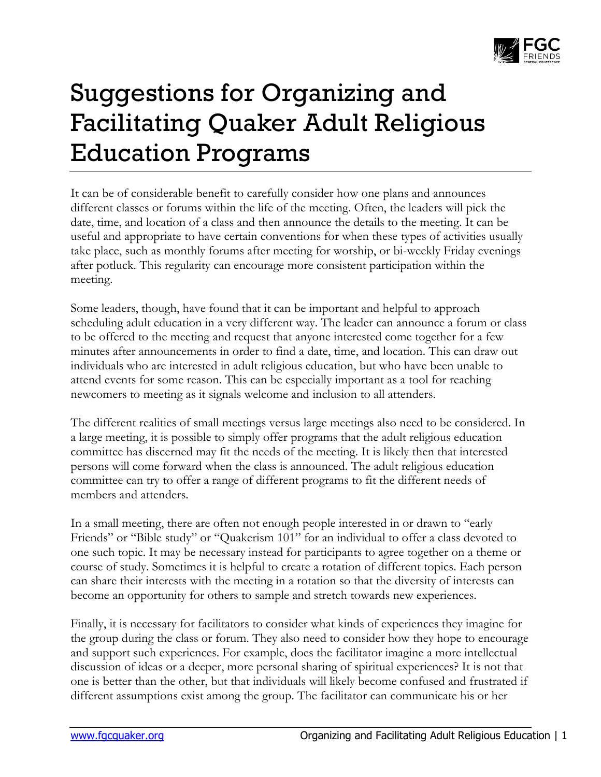

## Suggestions for Organizing and Facilitating Quaker Adult Religious Education Programs

It can be of considerable benefit to carefully consider how one plans and announces different classes or forums within the life of the meeting. Often, the leaders will pick the date, time, and location of a class and then announce the details to the meeting. It can be useful and appropriate to have certain conventions for when these types of activities usually take place, such as monthly forums after meeting for worship, or bi-weekly Friday evenings after potluck. This regularity can encourage more consistent participation within the meeting.

Some leaders, though, have found that it can be important and helpful to approach scheduling adult education in a very different way. The leader can announce a forum or class to be offered to the meeting and request that anyone interested come together for a few minutes after announcements in order to find a date, time, and location. This can draw out individuals who are interested in adult religious education, but who have been unable to attend events for some reason. This can be especially important as a tool for reaching newcomers to meeting as it signals welcome and inclusion to all attenders.

The different realities of small meetings versus large meetings also need to be considered. In a large meeting, it is possible to simply offer programs that the adult religious education committee has discerned may fit the needs of the meeting. It is likely then that interested persons will come forward when the class is announced. The adult religious education committee can try to offer a range of different programs to fit the different needs of members and attenders.

In a small meeting, there are often not enough people interested in or drawn to "early Friends" or "Bible study" or "Quakerism 101" for an individual to offer a class devoted to one such topic. It may be necessary instead for participants to agree together on a theme or course of study. Sometimes it is helpful to create a rotation of different topics. Each person can share their interests with the meeting in a rotation so that the diversity of interests can become an opportunity for others to sample and stretch towards new experiences.

Finally, it is necessary for facilitators to consider what kinds of experiences they imagine for the group during the class or forum. They also need to consider how they hope to encourage and support such experiences. For example, does the facilitator imagine a more intellectual discussion of ideas or a deeper, more personal sharing of spiritual experiences? It is not that one is better than the other, but that individuals will likely become confused and frustrated if different assumptions exist among the group. The facilitator can communicate his or her